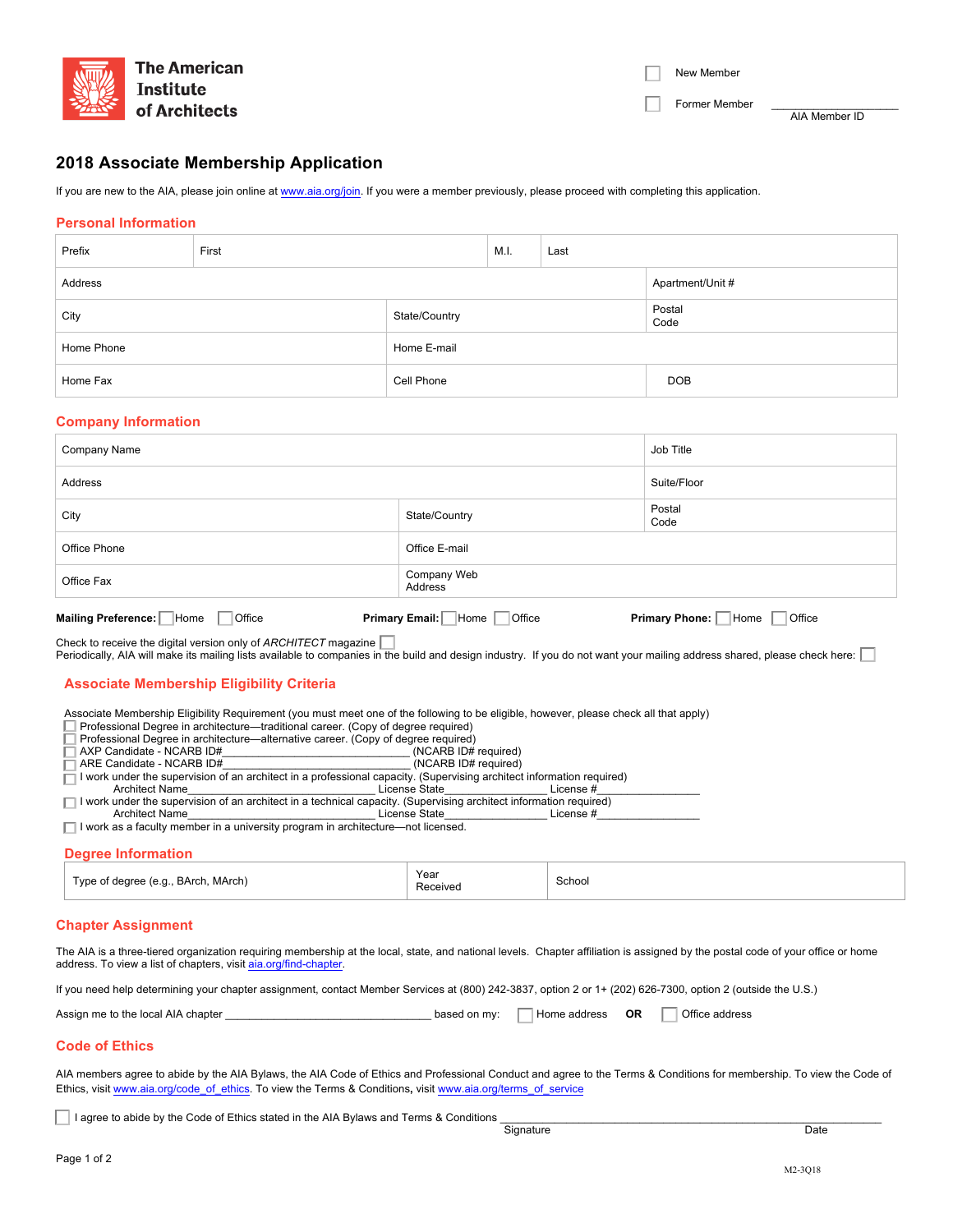

| New Member |  |
|------------|--|
|------------|--|

Former Member

AIA Member ID

# **2018 Associate Membership Application**

If you are new to the AIA, please join online at www.aia.org/join. If you were a member previously, please proceed with completing this application.

## **Personal Information**

| Prefix     | First |               | M.I. | Last             |                |  |
|------------|-------|---------------|------|------------------|----------------|--|
| Address    |       |               |      | Apartment/Unit # |                |  |
| City       |       | State/Country |      |                  | Postal<br>Code |  |
| Home Phone |       | Home E-mail   |      |                  |                |  |
| Home Fax   |       | Cell Phone    |      |                  | <b>DOB</b>     |  |

#### **Company Information**

| Company Name                                | Job Title                               |                                  |
|---------------------------------------------|-----------------------------------------|----------------------------------|
| Address                                     |                                         | Suite/Floor                      |
| City                                        | State/Country                           | Postal<br>Code                   |
| Office Phone                                | Office E-mail                           |                                  |
| Office Fax                                  | Company Web<br>Address                  |                                  |
| Mailing Preference:   Home<br><b>Office</b> | <b>Primary Email:</b><br>Home<br>Office | Primary Phone:<br>Home<br>Office |

Check to receive the digital version only of *ARCHITECT* magazine Periodically, AIA will make its mailing lists available to companies in the build and design industry. If you do not want your mailing address shared, please check here:

## **Associate Membership Eligibility Criteria**

Associate Membership Eligibility Requirement (you must meet one of the following to be eligible, however, please check all that apply)

Professional Degree in architecture—traditional career. (Copy of degree required)

Professional Degree in architecture—alternative career. (Copy of degree required)<br>AXP Candidate - NCARB ID# [1974] (NCARB ID# required)

AXP Candidate - NCARB ID#\_\_\_\_\_\_\_\_\_\_\_\_\_\_\_\_\_\_\_\_\_\_\_\_\_\_\_\_\_\_\_ (NCARB ID# required) ARE Candidate - NCARB ID#

I work under the supervision of an architect in a professional capacity. (Supervising architect information required) □ Architect Name\_\_\_\_\_\_\_\_\_\_\_\_\_\_\_\_\_\_\_\_\_\_\_\_\_\_\_\_\_\_\_ License State\_\_\_\_\_\_\_\_\_\_\_\_\_\_\_\_\_ License #\_\_\_\_\_\_\_\_\_\_\_\_\_\_\_\_\_

I work under the supervision of an architect in a technical capacity. (Supervising architect information required)

Architect Name the contract of the contract of the License State the contract of the License #

 $\Box$  I work as a faculty member in a university program in architecture—not licensed.

# **Degree Information**

| <b>VDC</b><br>School<br>. MArch)<br>⊀Arα<br>. .<br>uu<br>$\overline{\phantom{0}}$<br>.<br>Received<br>. |  | Year |  |
|---------------------------------------------------------------------------------------------------------|--|------|--|
|---------------------------------------------------------------------------------------------------------|--|------|--|

## **Chapter Assignment**

The AIA is a three-tiered organization requiring membership at the local, state, and national levels. Chapter affiliation is assigned by the postal code of your office or home address. To view a list of chapters, visit aia.org/find-chapter

If you need help determining your chapter assignment, contact Member Services at (800) 242-3837, option 2 or 1+ (202) 626-7300, option 2 (outside the U.S.)

| Assign me to the local AIA chapter | based on my: | Home address | OR |  | Office address |
|------------------------------------|--------------|--------------|----|--|----------------|
|------------------------------------|--------------|--------------|----|--|----------------|

# **Code of Ethics**

AIA members agree to abide by the AIA Bylaws, the AIA Code of Ethics and Professional Conduct and agree to the Terms & Conditions for membership. To view the Code of Ethics, visit www.aia.org/code\_of\_ethics. To view the Terms & Conditions**,** visit www.aia.org/terms\_of\_service

I agree to abide by the Code of Ethics stated in the AIA Bylaws and Terms & Conditions <br>
Signature